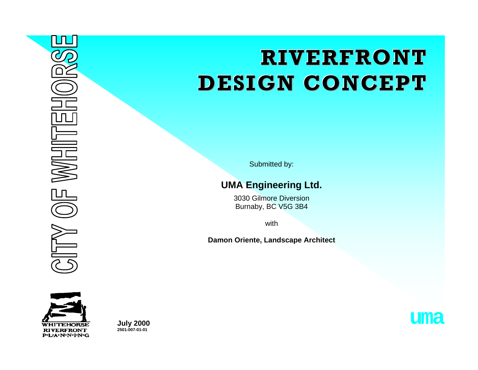# **RIVERFRONT DESIGN CONCEPT**

Submitted by:

# **UMA Engineering Ltd.**

3030 Gilmore Diversion Burnaby, BC V5G 3B4

with

**Damon Oriente, Landscape Architect** 



**July 2000**<br>2501-007-01-01

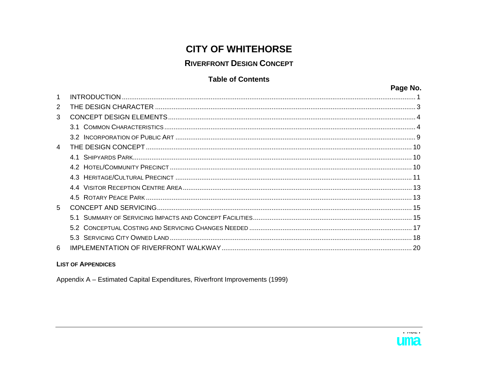# **CITY OF WHITEHORSE**

# **RIVERFRONT DESIGN CONCEPT**

#### **Table of Contents**

|                | Page No. |
|----------------|----------|
| $\mathbf 1$    |          |
| 2              |          |
| 3              |          |
|                |          |
|                |          |
| $\overline{4}$ |          |
|                |          |
|                |          |
|                |          |
|                |          |
|                |          |
| 5              |          |
|                |          |
|                |          |
|                |          |
| 6              |          |

#### **LIST OF APPENDICES**

Appendix A - Estimated Capital Expenditures, Riverfront Improvements (1999)



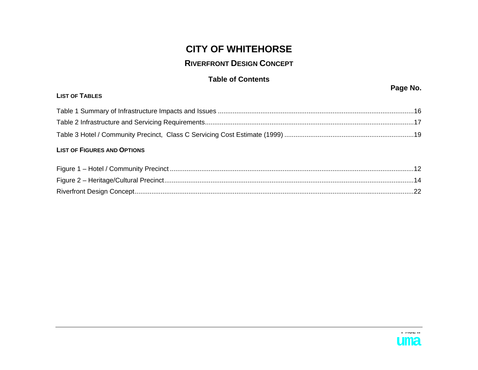# **CITY OF WHITEHORSE**

#### **RIVERFRONT DESIGN CONCEPT**

#### **Table of Contents**

| <b>LIST OF TABLES</b>              |  |
|------------------------------------|--|
|                                    |  |
|                                    |  |
|                                    |  |
| <b>LIST OF FIGURES AND OPTIONS</b> |  |
|                                    |  |
|                                    |  |

[Riverfront Design Concept.......................................................................................................................................................22](#page-24-0)



**Page No.** 

**CITY OF WHITEHORSE - Riverfront Design Concept PAGE ii**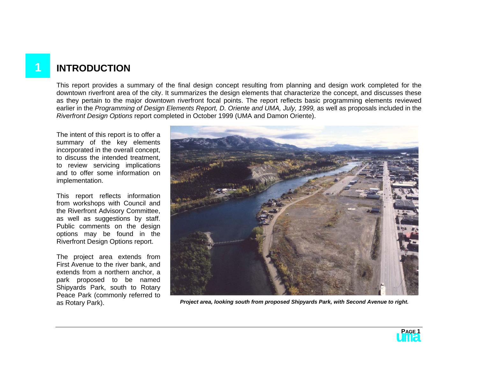# <span id="page-3-0"></span>**1 INTRODUCTION**

This report provides a summary of the final design concept resulting from planning and design work completed for the downtown riverfront area of the city. It summarizes the design elements that characterize the concept, and discusses these as they pertain to the major downtown riverfront focal points. The report reflects basic programming elements reviewed earlier in the Programming of Design Elements Report, D. Oriente and UMA, July, 1999, as well as proposals included in the *Riverfront Design Options* report completed in October 1999 (UMA and Damon Oriente).

The intent of this report is to offer a summary of the key elements incorporated in the overall concept, to discuss the intended treatment, to review servicing implications and to offer some information on implementation.

This report reflects information from workshops with Council and the Riverfront Advisory Committee, as well as suggestions by staff. Public comments on the design options may be found in the Riverfront Design Options report.

The project area extends from First Avenue to the river bank, and extends from a northern anchor, a park proposed to be named Shipyards Park, south to Rotary Peace Park (commonly referred to



as Rotary Park). *Project area, looking south from proposed Shipyards Park, with Second Avenue to right.* 

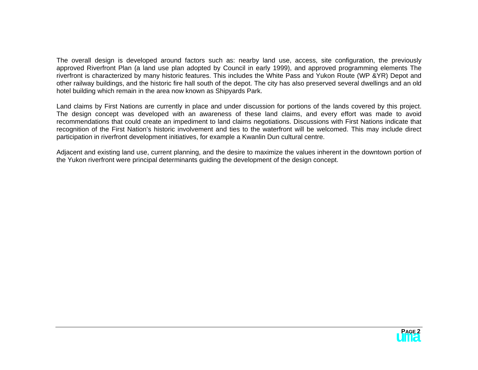The overall design is developed around factors such as: nearby land use, access, site configuration, the previously approved Riverfront Plan (a land use plan adopted by Council in early 1999), and approved programming elements The riverfront is characterized by many historic features. This includes the White Pass and Yukon Route (WP &YR) Depot and other railway buildings, and the historic fire hall south of the depot. The city has also preserved several dwellings and an old hotel building which remain in the area now known as Shipyards Park.

Land claims by First Nations are currently in place and under discussion for portions of the lands covered by this project. The design concept was developed with an awareness of these land claims, and every effort was made to avoid recommendations that could create an impediment to land claims negotiations. Discussions with First Nations indicate that recognition of the First Nation's historic involvement and ties to the waterfront will be welcomed. This may include direct participation in riverfront development initiatives, for example a Kwanlin Dun cultural centre.

Adjacent and existing land use, current planning, and the desire to maximize the values inherent in the downtown portion of the Yukon riverfront were principal determinants guiding the development of the design concept.

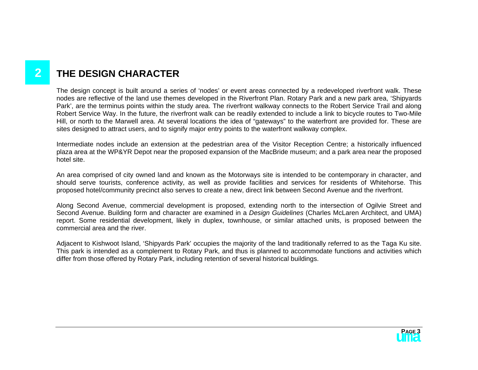# <span id="page-5-0"></span>**2 THE DESIGN CHARACTER**

The design concept is built around a series of 'nodes' or event areas connected by a redeveloped riverfront walk. These nodes are reflective of the land use themes developed in the Riverfront Plan. Rotary Park and a new park area, 'Shipyards Park', are the terminus points within the study area. The riverfront walkway connects to the Robert Service Trail and along Robert Service Way. In the future, the riverfront walk can be readily extended to include a link to bicycle routes to Two-Mile Hill, or north to the Marwell area. At several locations the idea of "gateways" to the waterfront are provided for. These are sites designed to attract users, and to signify major entry points to the waterfront walkway complex.

Intermediate nodes include an extension at the pedestrian area of the Visitor Reception Centre; a historically influenced plaza area at the WP&YR Depot near the proposed expansion of the MacBride museum; and a park area near the proposed hotel site.

An area comprised of city owned land and known as the Motorways site is intended to be contemporary in character, and should serve tourists, conference activity, as well as provide facilities and services for residents of Whitehorse. This proposed hotel/community precinct also serves to create a new, direct link between Second Avenue and the riverfront.

Along Second Avenue, commercial development is proposed, extending north to the intersection of Ogilvie Street and Second Avenue. Building form and character are examined in a *Design Guidelines* (Charles McLaren Architect, and UMA) report. Some residential development, likely in duplex, townhouse, or similar attached units, is proposed between the commercial area and the river.

Adjacent to Kishwoot Island, 'Shipyards Park' occupies the majority of the land traditionally referred to as the Taga Ku site. This park is intended as a complement to Rotary Park, and thus is planned to accommodate functions and activities which differ from those offered by Rotary Park, including retention of several historical buildings.

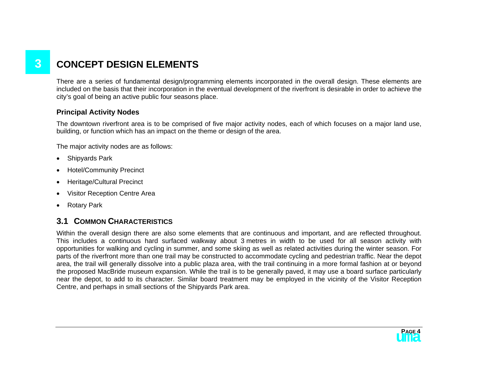# <span id="page-6-0"></span>**3 CONCEPT DESIGN ELEMENTS**

There are a series of fundamental design/programming elements incorporated in the overall design. These elements are included on the basis that their incorporation in the eventual development of the riverfront is desirable in order to achieve the city's goal of being an active public four seasons place.

#### **Principal Activity Nodes**

The downtown riverfront area is to be comprised of five major activity nodes, each of which focuses on a major land use, building, or function which has an impact on the theme or design of the area.

The major activity nodes are as follows:

- Shipyards Park
- Hotel/Community Precinct
- Heritage/Cultural Precinct
- Visitor Reception Centre Area
- Rotary Park

## **3.1 COMMON CHARACTERISTICS**

Within the overall design there are also some elements that are continuous and important, and are reflected throughout. This includes a continuous hard surfaced walkway about 3 metres in width to be used for all season activity with opportunities for walking and cycling in summer, and some skiing as well as related activities during the winter season. For parts of the riverfront more than one trail may be constructed to accommodate cycling and pedestrian traffic. Near the depot area, the trail will generally dissolve into a public plaza area, with the trail continuing in a more formal fashion at or beyond the proposed MacBride museum expansion. While the trail is to be generally paved, it may use a board surface particularly near the depot, to add to its character. Similar board treatment may be employed in the vicinity of the Visitor Reception Centre, and perhaps in small sections of the Shipyards Park area.

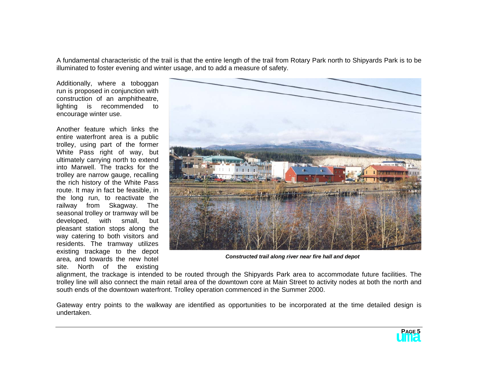A fundamental characteristic of the trail is that the entire length of the trail from Rotary Park north to Shipyards Park is to be illuminated to foster evening and winter usage, and to add a measure of safety.

Additionally, where a toboggan run is proposed in conjunction with construction of an amphitheatre, lighting is recommended to encourage winter use.

Another feature which links the entire waterfront area is a public trolley, using part of the former White Pass right of way, but ultimately carrying north to extend into Marwell. The tracks for the trolley are narrow gauge, recalling the rich history of the White Pass route. It may in fact be feasible, in the long run, to reactivate the railway from Skagway. The seasonal trolley or tramway will be developed, with small, but pleasant station stops along the way catering to both visitors and residents. The tramway utilizes existing trackage to the depot area, and towards the new hotel site. North of the existing



*Constructed trail along river near fire hall and depot* 

alignment, the trackage is intended to be routed through the Shipyards Park area to accommodate future facilities. The trolley line will also connect the main retail area of the downtown core at Main Street to activity nodes at both the north and south ends of the downtown waterfront. Trolley operation commenced in the Summer 2000.

Gateway entry points to the walkway are identified as opportunities to be incorporated at the time detailed design is undertaken.

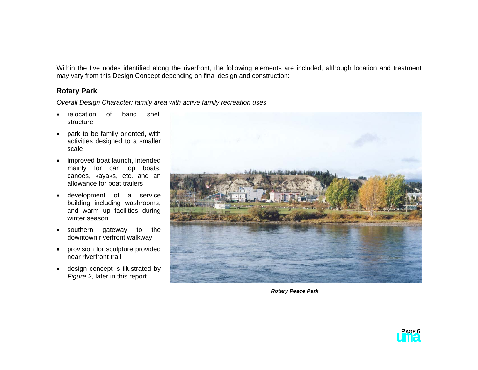Within the five nodes identified along the riverfront, the following elements are included, although location and treatment may vary from this Design Concept depending on final design and construction:

#### **Rotary Park**

*Overall Design Character: family area with active family recreation uses* 

- relocation of band shell structure
- park to be family oriented, with activities designed to a smaller scale
- improved boat launch, intended mainly for car top boats, canoes, kayaks, etc. and an allowance for boat trailers
- development of a service building including washrooms, and warm up facilities during winter season
- southern gateway to the downtown riverfront walkway
- provision for sculpture provided near riverfront trail
- design concept is illustrated by *Figure 2*, later in this report



*Rotary Peace Park* 

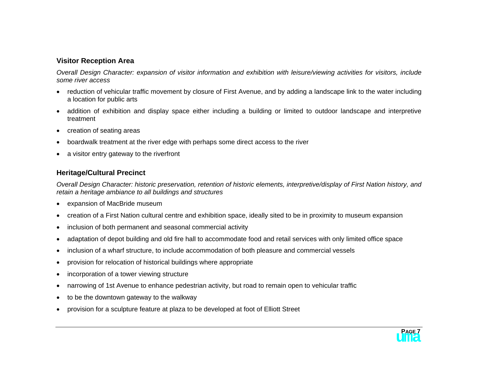#### **Visitor Reception Area**

*Overall Design Character: expansion of visitor information and exhibition with leisure/viewing activities for visitors, include some river access* 

- reduction of vehicular traffic movement by closure of First Avenue, and by adding a landscape link to the water including a location for public arts
- addition of exhibition and display space either including a building or limited to outdoor landscape and interpretive treatment
- creation of seating areas
- boardwalk treatment at the river edge with perhaps some direct access to the river
- a visitor entry gateway to the riverfront

#### **Heritage/Cultural Precinct**

*Overall Design Character: historic preservation, retention of historic elements, interpretive/display of First Nation history, and retain a heritage ambiance to all buildings and structures* 

- expansion of MacBride museum
- creation of a First Nation cultural centre and exhibition space, ideally sited to be in proximity to museum expansion
- inclusion of both permanent and seasonal commercial activity
- adaptation of depot building and old fire hall to accommodate food and retail services with only limited office space
- inclusion of a wharf structure, to include accommodation of both pleasure and commercial vessels
- provision for relocation of historical buildings where appropriate
- incorporation of a tower viewing structure
- narrowing of 1st Avenue to enhance pedestrian activity, but road to remain open to vehicular traffic
- to be the downtown gateway to the walkway
- provision for a sculpture feature at plaza to be developed at foot of Elliott Street

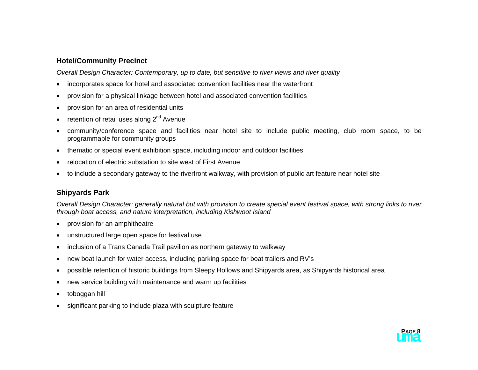#### **Hotel/Community Precinct**

*Overall Design Character: Contemporary, up to date, but sensitive to river views and river quality* 

- incorporates space for hotel and associated convention facilities near the waterfront
- provision for a physical linkage between hotel and associated convention facilities
- provision for an area of residential units
- retention of retail uses along  $2^{nd}$  Avenue
- community/conference space and facilities near hotel site to include public meeting, club room space, to be programmable for community groups
- thematic or special event exhibition space, including indoor and outdoor facilities
- relocation of electric substation to site west of First Avenue
- to include a secondary gateway to the riverfront walkway, with provision of public art feature near hotel site

#### **Shipyards Park**

*Overall Design Character: generally natural but with provision to create special event festival space, with strong links to river through boat access, and nature interpretation, including Kishwoot Island* 

- provision for an amphitheatre
- unstructured large open space for festival use
- inclusion of a Trans Canada Trail pavilion as northern gateway to walkway
- new boat launch for water access, including parking space for boat trailers and RV's
- possible retention of historic buildings from Sleepy Hollows and Shipyards area, as Shipyards historical area
- new service building with maintenance and warm up facilities
- toboggan hill
- significant parking to include plaza with sculpture feature

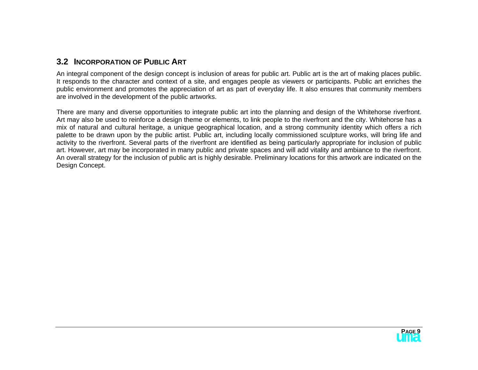#### <span id="page-11-0"></span>**3.2 INCORPORATION OF PUBLIC ART**

An integral component of the design concept is inclusion of areas for public art. Public art is the art of making places public. It responds to the character and context of a site, and engages people as viewers or participants. Public art enriches the public environment and promotes the appreciation of art as part of everyday life. It also ensures that community members are involved in the development of the public artworks.

There are many and diverse opportunities to integrate public art into the planning and design of the Whitehorse riverfront. Art may also be used to reinforce a design theme or elements, to link people to the riverfront and the city. Whitehorse has a mix of natural and cultural heritage, a unique geographical location, and a strong community identity which offers a rich palette to be drawn upon by the public artist. Public art, including locally commissioned sculpture works, will bring life and activity to the riverfront. Several parts of the riverfront are identified as being particularly appropriate for inclusion of public art. However, art may be incorporated in many public and private spaces and will add vitality and ambiance to the riverfront. An overall strategy for the inclusion of public art is highly desirable. Preliminary locations for this artwork are indicated on the Design Concept.

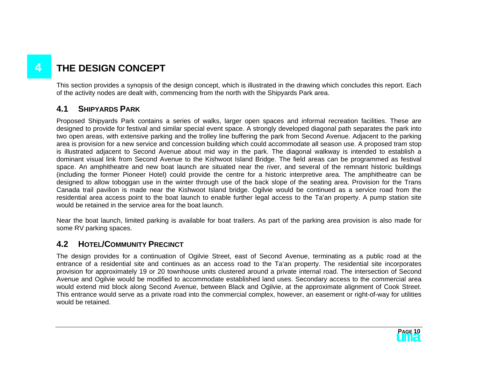# <span id="page-12-0"></span>**4 THE DESIGN CONCEPT**

This section provides a synopsis of the design concept, which is illustrated in the drawing which concludes this report. Each of the activity nodes are dealt with, commencing from the north with the Shipyards Park area.

## **4.1 SHIPYARDS PARK**

Proposed Shipyards Park contains a series of walks, larger open spaces and informal recreation facilities. These are designed to provide for festival and similar special event space. A strongly developed diagonal path separates the park into two open areas, with extensive parking and the trolley line buffering the park from Second Avenue. Adjacent to the parking area is provision for a new service and concession building which could accommodate all season use. A proposed tram stop is illustrated adjacent to Second Avenue about mid way in the park. The diagonal walkway is intended to establish a dominant visual link from Second Avenue to the Kishwoot Island Bridge. The field areas can be programmed as festival space. An amphitheatre and new boat launch are situated near the river, and several of the remnant historic buildings (including the former Pioneer Hotel) could provide the centre for a historic interpretive area. The amphitheatre can be designed to allow toboggan use in the winter through use of the back slope of the seating area. Provision for the Trans Canada trail pavilion is made near the Kishwoot Island bridge. Ogilvie would be continued as a service road from the residential area access point to the boat launch to enable further legal access to the Ta'an property. A pump station site would be retained in the service area for the boat launch.

Near the boat launch, limited parking is available for boat trailers. As part of the parking area provision is also made for some RV parking spaces.

## **4.2 HOTEL/COMMUNITY PRECINCT**

The design provides for a continuation of Ogilvie Street, east of Second Avenue, terminating as a public road at the entrance of a residential site and continues as an access road to the Ta'an property. The residential site incorporates provision for approximately 19 or 20 townhouse units clustered around a private internal road. The intersection of Second Avenue and Ogilvie would be modified to accommodate established land uses. Secondary access to the commercial area would extend mid block along Second Avenue, between Black and Ogilvie, at the approximate alignment of Cook Street. This entrance would serve as a private road into the commercial complex, however, an easement or right-of-way for utilities would be retained.

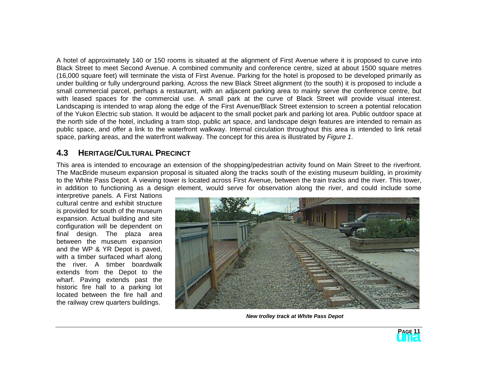<span id="page-13-0"></span>A hotel of approximately 140 or 150 rooms is situated at the alignment of First Avenue where it is proposed to curve into Black Street to meet Second Avenue. A combined community and conference centre, sized at about 1500 square metres (16,000 square feet) will terminate the vista of First Avenue. Parking for the hotel is proposed to be developed primarily as under building or fully underground parking. Across the new Black Street alignment (to the south) it is proposed to include a small commercial parcel, perhaps a restaurant, with an adjacent parking area to mainly serve the conference centre, but with leased spaces for the commercial use. A small park at the curve of Black Street will provide visual interest. Landscaping is intended to wrap along the edge of the First Avenue/Black Street extension to screen a potential relocation of the Yukon Electric sub station. It would be adjacent to the small pocket park and parking lot area. Public outdoor space at the north side of the hotel, including a tram stop, public art space, and landscape deign features are intended to remain as public space, and offer a link to the waterfront walkway. Internal circulation throughout this area is intended to link retail space, parking areas, and the waterfront walkway. The concept for this area is illustrated by *Figure 1*.

## **4.3 HERITAGE/CULTURAL PRECINCT**

This area is intended to encourage an extension of the shopping/pedestrian activity found on Main Street to the riverfront. The MacBride museum expansion proposal is situated along the tracks south of the existing museum building, in proximity to the White Pass Depot. A viewing tower is located across First Avenue, between the train tracks and the river. This tower, in addition to functioning as a design element, would serve for observation along the river, and could include some

interpretive panels. A First Nations cultural centre and exhibit structure is provided for south of the museum expansion. Actual building and site configuration will be dependent on final design. The plaza area between the museum expansion and the WP & YR Depot is paved, with a timber surfaced wharf along the river. A timber boardwalk extends from the Depot to the wharf. Paving extends past the historic fire hall to a parking lot located between the fire hall and the railway crew quarters buildings.



*New trolley track at White Pass Depot* 

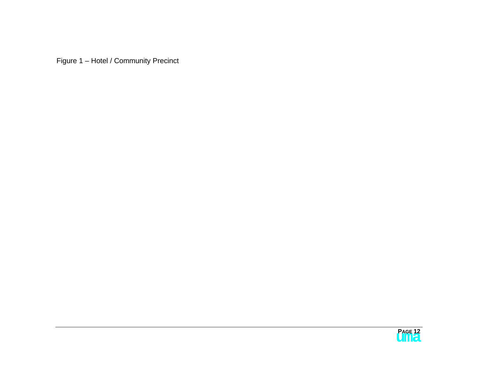<span id="page-14-0"></span>Figure 1 – Hotel / Community Precinct

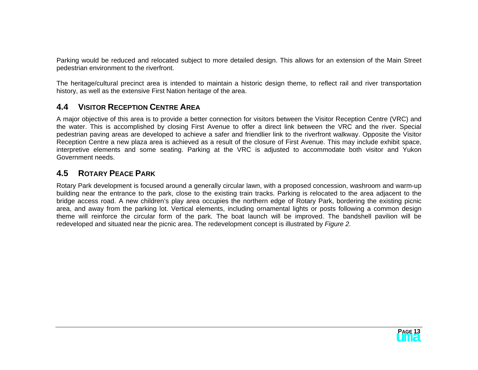<span id="page-15-0"></span>Parking would be reduced and relocated subject to more detailed design. This allows for an extension of the Main Street pedestrian environment to the riverfront.

The heritage/cultural precinct area is intended to maintain a historic design theme, to reflect rail and river transportation history, as well as the extensive First Nation heritage of the area.

## **4.4 VISITOR RECEPTION CENTRE AREA**

A major objective of this area is to provide a better connection for visitors between the Visitor Reception Centre (VRC) and the water. This is accomplished by closing First Avenue to offer a direct link between the VRC and the river. Special pedestrian paving areas are developed to achieve a safer and friendlier link to the riverfront walkway. Opposite the Visitor Reception Centre a new plaza area is achieved as a result of the closure of First Avenue. This may include exhibit space, interpretive elements and some seating. Parking at the VRC is adjusted to accommodate both visitor and Yukon Government needs.

## **4.5 ROTARY PEACE PARK**

Rotary Park development is focused around a generally circular lawn, with a proposed concession, washroom and warm-up building near the entrance to the park, close to the existing train tracks. Parking is relocated to the area adjacent to the bridge access road. A new children's play area occupies the northern edge of Rotary Park, bordering the existing picnic area, and away from the parking lot. Vertical elements, including ornamental lights or posts following a common design theme will reinforce the circular form of the park. The boat launch will be improved. The bandshell pavilion will be redeveloped and situated near the picnic area. The redevelopment concept is illustrated by *Figure 2.*

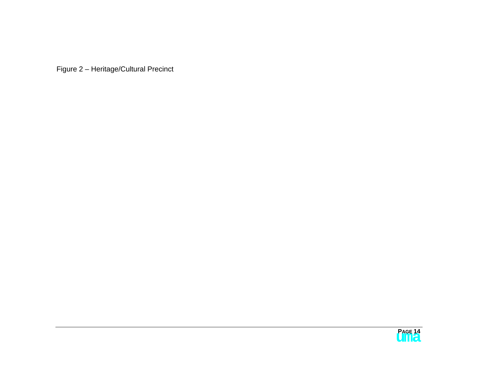<span id="page-16-0"></span>Figure 2 – Heritage/Cultural Precinct

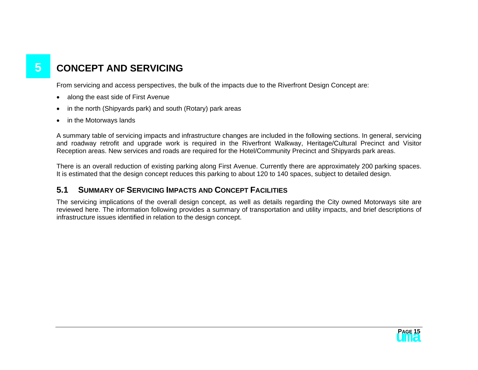# <span id="page-17-0"></span>**5** CONCEPT AND SERVICING

From servicing and access perspectives, the bulk of the impacts due to the Riverfront Design Concept are:

- along the east side of First Avenue
- in the north (Shipyards park) and south (Rotary) park areas
- in the Motorways lands

A summary table of servicing impacts and infrastructure changes are included in the following sections. In general, servicing and roadway retrofit and upgrade work is required in the Riverfront Walkway, Heritage/Cultural Precinct and Visitor Reception areas. New services and roads are required for the Hotel/Community Precinct and Shipyards park areas.

There is an overall reduction of existing parking along First Avenue. Currently there are approximately 200 parking spaces. It is estimated that the design concept reduces this parking to about 120 to 140 spaces, subject to detailed design.

## **5.1 SUMMARY OF SERVICING IMPACTS AND CONCEPT FACILITIES**

The servicing implications of the overall design concept, as well as details regarding the City owned Motorways site are reviewed here. The information following provides a summary of transportation and utility impacts, and brief descriptions of infrastructure issues identified in relation to the design concept.

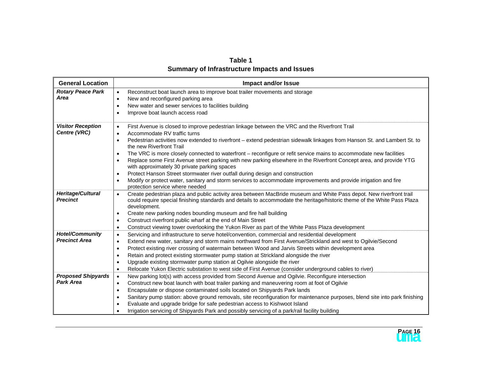**Table 1 Summary of Infrastructure Impacts and Issues**

<span id="page-18-0"></span>

| <b>General Location</b>                     | <b>Impact and/or Issue</b>                                                                                                                                                                                                                                                   |
|---------------------------------------------|------------------------------------------------------------------------------------------------------------------------------------------------------------------------------------------------------------------------------------------------------------------------------|
| <b>Rotary Peace Park</b>                    | Reconstruct boat launch area to improve boat trailer movements and storage<br>$\bullet$                                                                                                                                                                                      |
| Area                                        | New and reconfigured parking area<br>$\bullet$                                                                                                                                                                                                                               |
|                                             | New water and sewer services to facilities building<br>$\bullet$                                                                                                                                                                                                             |
|                                             | Improve boat launch access road<br>$\bullet$                                                                                                                                                                                                                                 |
| <b>Visitor Reception</b>                    | First Avenue is closed to improve pedestrian linkage between the VRC and the Riverfront Trail<br>$\bullet$                                                                                                                                                                   |
| Centre (VRC)                                | Accommodate RV traffic turns<br>$\bullet$                                                                                                                                                                                                                                    |
|                                             | Pedestrian activities now extended to riverfront - extend pedestrian sidewalk linkages from Hanson St. and Lambert St. to<br>$\bullet$<br>the new Riverfront Trail                                                                                                           |
|                                             | The VRC is more closely connected to waterfront - reconfigure or refit service mains to accommodate new facilities<br>$\bullet$                                                                                                                                              |
|                                             | Replace some First Avenue street parking with new parking elsewhere in the Riverfront Concept area, and provide YTG<br>٠<br>with approximately 30 private parking spaces                                                                                                     |
|                                             | Protect Hanson Street stormwater river outfall during design and construction<br>$\bullet$                                                                                                                                                                                   |
|                                             | Modify or protect water, sanitary and storm services to accommodate improvements and provide irrigation and fire<br>٠<br>protection service where needed                                                                                                                     |
| <b>Heritage/Cultural</b><br><b>Precinct</b> | Create pedestrian plaza and public activity area between MacBride museum and White Pass depot. New riverfront trail<br>$\bullet$<br>could require special finishing standards and details to accommodate the heritage/historic theme of the White Pass Plaza<br>development. |
|                                             | Create new parking nodes bounding museum and fire hall building<br>$\bullet$                                                                                                                                                                                                 |
|                                             | Construct riverfront public wharf at the end of Main Street<br>٠                                                                                                                                                                                                             |
|                                             | Construct viewing tower overlooking the Yukon River as part of the White Pass Plaza development<br>٠                                                                                                                                                                         |
| <b>Hotel/Community</b>                      | Servicing and infrastructure to serve hotel/convention, commercial and residential development<br>$\bullet$                                                                                                                                                                  |
| <b>Precinct Area</b>                        | Extend new water, sanitary and storm mains northward from First Avenue/Strickland and west to Ogilvie/Second<br>$\bullet$                                                                                                                                                    |
|                                             | Protect existing river crossing of watermain between Wood and Jarvis Streets within development area<br>$\bullet$                                                                                                                                                            |
|                                             | Retain and protect existing stormwater pump station at Strickland alongside the river<br>٠                                                                                                                                                                                   |
|                                             | Upgrade existing stormwater pump station at Ogilvie alongside the river<br>$\bullet$                                                                                                                                                                                         |
|                                             | Relocate Yukon Electric substation to west side of First Avenue (consider underground cables to river)<br>$\bullet$                                                                                                                                                          |
| <b>Proposed Shipyards</b>                   | New parking lot(s) with access provided from Second Avenue and Ogilvie. Reconfigure intersection<br>$\bullet$                                                                                                                                                                |
| <b>Park Area</b>                            | Construct new boat launch with boat trailer parking and maneuvering room at foot of Ogilvie<br>$\bullet$                                                                                                                                                                     |
|                                             | Encapsulate or dispose contaminated soils located on Shipyards Park lands<br>$\bullet$                                                                                                                                                                                       |
|                                             | Sanitary pump station: above ground removals, site reconfiguration for maintenance purposes, blend site into park finishing<br>٠                                                                                                                                             |
|                                             | Evaluate and upgrade bridge for safe pedestrian access to Kishwoot Island                                                                                                                                                                                                    |
|                                             | Irrigation servicing of Shipyards Park and possibly servicing of a park/rail facility building                                                                                                                                                                               |

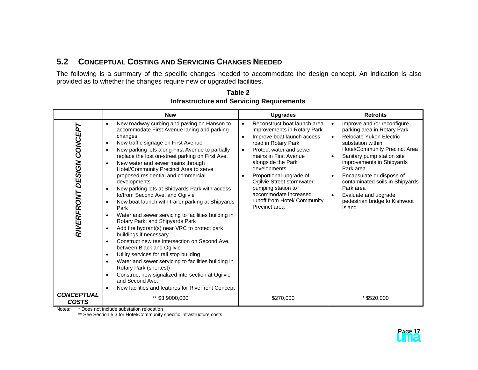## <span id="page-19-0"></span>**5.2 CONCEPTUAL COSTING AND SERVICING CHANGES NEEDED**

The following is a summary of the specific changes needed to accommodate the design concept. An indication is also provided as to whether the changes require new or upgraded facilities.

|                                   | <b>New</b>                                                                                                                                                                                                                                                                                                                                                                                                                                                                                                                                                                                                                                                                                                                                                                                                                                                                                                                                                                                                                                                                                                                                                                                                  | <b>Upgrades</b>                                                                                                                                                                                                                                                                                                                                                                                           | <b>Retrofits</b>                                                                                                                                                                                                                                                                                                                                                                                                                            |
|-----------------------------------|-------------------------------------------------------------------------------------------------------------------------------------------------------------------------------------------------------------------------------------------------------------------------------------------------------------------------------------------------------------------------------------------------------------------------------------------------------------------------------------------------------------------------------------------------------------------------------------------------------------------------------------------------------------------------------------------------------------------------------------------------------------------------------------------------------------------------------------------------------------------------------------------------------------------------------------------------------------------------------------------------------------------------------------------------------------------------------------------------------------------------------------------------------------------------------------------------------------|-----------------------------------------------------------------------------------------------------------------------------------------------------------------------------------------------------------------------------------------------------------------------------------------------------------------------------------------------------------------------------------------------------------|---------------------------------------------------------------------------------------------------------------------------------------------------------------------------------------------------------------------------------------------------------------------------------------------------------------------------------------------------------------------------------------------------------------------------------------------|
| RIVERFRONT DESIGN CONCEP          | New roadway curbing and paving on Hanson to<br>$\bullet$<br>accommodate First Avenue laning and parking<br>changes<br>New traffic signage on First Avenue<br>$\bullet$<br>New parking lots along First Avenue to partially<br>$\bullet$<br>replace the lost on-street parking on First Ave.<br>New water and sewer mains through<br>$\bullet$<br>Hotel/Community Precinct Area to serve<br>proposed residential and commercial<br>developments<br>New parking lots at Shipyards Park with access<br>$\bullet$<br>to/from Second Ave. and Ogilvie<br>New boat launch with trailer parking at Shipyards<br>$\bullet$<br>Park<br>Water and sewer servicing to facilities building in<br>$\bullet$<br>Rotary Park; and Shipyards Park<br>Add fire hydrant(s) near VRC to protect park<br>$\bullet$<br>buildings if necessary<br>Construct new tee intersection on Second Ave.<br>$\bullet$<br>between Black and Ogilvie<br>Utility services for rail stop building<br>$\bullet$<br>Water and sewer servicing to facilities building in<br>$\bullet$<br>Rotary Park (shortest)<br>Construct new signalized intersection at Ogilvie<br>٠<br>and Second Ave.<br>New facilities and features for Riverfront Concept | Reconstruct boat launch area<br>$\bullet$<br>improvements in Rotary Park<br>Improve boat launch access<br>$\bullet$<br>road in Rotary Park<br>Protect water and sewer<br>$\bullet$<br>mains in First Avenue<br>alongside the Park<br>developments<br>Proportional upgrade of<br>Ogilvie Street stormwater<br>pumping station to<br>accommodate increased<br>runoff from Hotel/ Community<br>Precinct area | Improve and /or reconfigure<br>$\bullet$<br>parking area in Rotary Park<br>Relocate Yukon Electric<br>$\bullet$<br>substation within<br><b>Hotel/Community Precinct Area</b><br>Sanitary pump station site<br>$\bullet$<br>improvements in Shipyards<br>Park area<br>Encapsulate or dispose of<br>$\bullet$<br>contaminated soils in Shipyards<br>Park area<br>Evaluate and upgrade<br>$\bullet$<br>pedestrian bridge to Kishwoot<br>Island |
| <b>CONCEPTUAL</b><br><b>COSTS</b> | ** \$3,9000,000                                                                                                                                                                                                                                                                                                                                                                                                                                                                                                                                                                                                                                                                                                                                                                                                                                                                                                                                                                                                                                                                                                                                                                                             | \$270,000                                                                                                                                                                                                                                                                                                                                                                                                 | $*$ \$520,000                                                                                                                                                                                                                                                                                                                                                                                                                               |

**Table 2 Infrastructure and Servicing Requirements** 

Notes: \* Does not include substation relocation

\*\* See Section 5.3 for Hotel/Community specific infrastructure costs

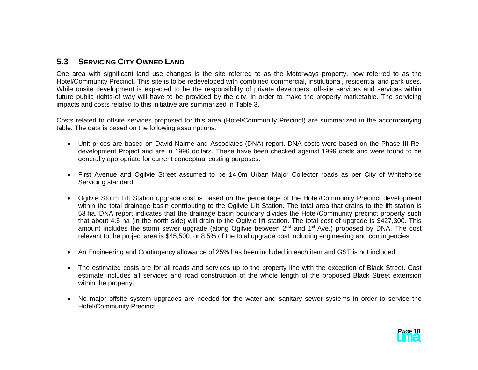## <span id="page-20-0"></span>**5.3 SERVICING CITY OWNED LAND**

One area with significant land use changes is the site referred to as the Motorways property, now referred to as the Hotel/Community Precinct. This site is to be redeveloped with combined commercial, institutional, residential and park uses. While onsite development is expected to be the responsibility of private developers, off-site services and services within future public rights-of way will have to be provided by the city, in order to make the property marketable. The servicing impacts and costs related to this initiative are summarized in Table 3.

Costs related to offsite services proposed for this area (Hotel/Community Precinct) are summarized in the accompanying table. The data is based on the following assumptions:

- Unit prices are based on David Nairne and Associates (DNA) report. DNA costs were based on the Phase III Redevelopment Project and are in 1996 dollars. These have been checked against 1999 costs and were found to be generally appropriate for current conceptual costing purposes.
- First Avenue and Ogilvie Street assumed to be 14.0m Urban Major Collector roads as per City of Whitehorse Servicing standard.
- Ogilvie Storm Lift Station upgrade cost is based on the percentage of the Hotel/Community Precinct development within the total drainage basin contributing to the Ogilvie Lift Station. The total area that drains to the lift station is 53 ha. DNA report indicates that the drainage basin boundary divides the Hotel/Community precinct property such that about 4.5 ha (in the north side) will drain to the Ogilvie lift station. The total cost of upgrade is \$427,300. This amount includes the storm sewer upgrade (along Ogilvie between 2<sup>nd</sup> and 1<sup>st</sup> Ave.) proposed by DNA. The cost relevant to the project area is \$45,500, or 8.5% of the total upgrade cost including engineering and contingencies.
- An Engineering and Contingency allowance of 25% has been included in each item and GST is not included.
- The estimated costs are for all roads and services up to the property line with the exception of Black Street. Cost estimate includes all services and road construction of the whole length of the proposed Black Street extension within the property.
- No major offsite system upgrades are needed for the water and sanitary sewer systems in order to service the Hotel/Community Precinct.

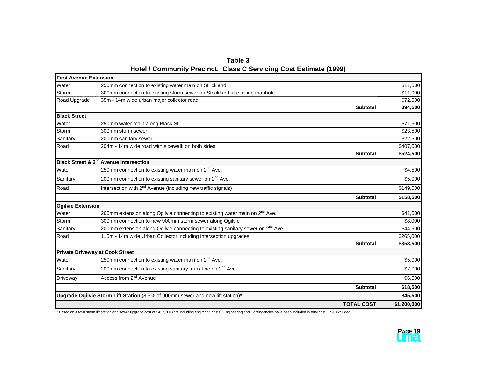|                                                                    | Table 3 |  |
|--------------------------------------------------------------------|---------|--|
| Hotel / Community Precinct, Class C Servicing Cost Estimate (1999) |         |  |

<span id="page-21-0"></span>

| <b>First Avenue Extension</b> |                                                                                             |             |
|-------------------------------|---------------------------------------------------------------------------------------------|-------------|
| Water                         | 250mm connection to existing water main on Strickland                                       | \$11,500    |
| Storm                         | 300mm connection to existing storm sewer on Strickland at existing manhole                  | \$11,000    |
| Road Upgrade                  | 35m - 14m wide urban major collector road                                                   | \$72,000    |
|                               | <b>Subtotal</b>                                                                             | \$94,500    |
| <b>Black Street</b>           |                                                                                             |             |
| Water                         | 250mm water main along Black St.                                                            | \$71,500    |
| Storm                         | 300mm storm sewer                                                                           | \$23,500    |
| Sanitary                      | 200mm sanitary sewer                                                                        | \$22,500    |
| Road                          | 204m - 14m wide road with sidewalk on both sides                                            | \$407,000   |
|                               | <b>Subtotal</b>                                                                             | \$524,500   |
|                               | Black Street & 2 <sup>nd</sup> Avenue Intersection                                          |             |
| Water                         | 250mm connection to existing water main on 2 <sup>nd</sup> Ave.                             | \$4,500     |
| Sanitary                      | 200mm connection to existing sanitary sewer on 2 <sup>nd</sup> Ave.                         | \$5,000     |
| Road                          | Intersection with 2 <sup>nd</sup> Avenue (including new traffic signals)                    | \$149,000   |
|                               | <b>Subtotal</b>                                                                             | \$158,500   |
| <b>Ogilvie Extension</b>      |                                                                                             |             |
| Water                         | 200mm extension along Ogilvie connecting to existing water main on 2 <sup>nd</sup> Ave.     | \$41,000    |
| Storm                         | 300mm connection to new 900mm storm sewer along Ogilvie                                     | \$8,000     |
| Sanitary                      | 200mm extension along Ogilvie connecting to existing sanitary sewer on 2 <sup>nd</sup> Ave. | \$44,500    |
| Road                          | 115m - 14m wide Urban Collector including intersection upgrades                             | \$265,000   |
|                               | <b>Subtotal</b>                                                                             | \$358,500   |
|                               | <b>Private Driveway at Cook Street</b>                                                      |             |
| Water                         | 250mm connection to existing water main on 2 <sup>nd</sup> Ave.                             | \$5,000     |
| Sanitary                      | 200mm connection to existing sanitary trunk line on 2 <sup>nd</sup> Ave.                    | \$7,000     |
| Driveway                      | Access from 2 <sup>nd</sup> Avenue                                                          | \$6,500     |
|                               | <b>Subtotal</b>                                                                             | \$18,500    |
|                               | Upgrade Ogilvie Storm Lift Station (8.5% of 900mm sewer and new lift station)*              | \$45,500    |
|                               | <b>TOTAL COST</b>                                                                           | \$1,200,000 |

\* Based on a total storm lift station and sewer upgrade cost of \$427,300 (not including eng./cont. costs). Engineering and Contingencies have been included in total cost. GST excluded.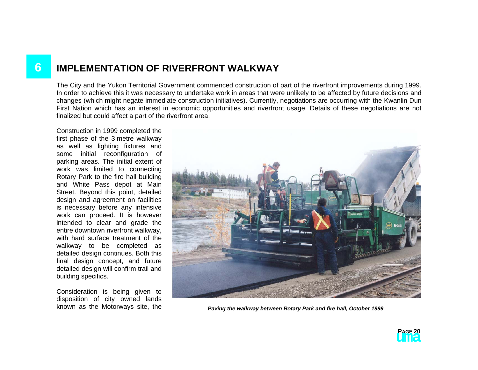# <span id="page-22-0"></span>**6 IMPLEMENTATION OF RIVERFRONT WALKWAY**

The City and the Yukon Territorial Government commenced construction of part of the riverfront improvements during 1999. In order to achieve this it was necessary to undertake work in areas that were unlikely to be affected by future decisions and changes (which might negate immediate construction initiatives). Currently, negotiations are occurring with the Kwanlin Dun First Nation which has an interest in economic opportunities and riverfront usage. Details of these negotiations are not finalized but could affect a part of the riverfront area.

Construction in 1999 completed the first phase of the 3 metre walkway as well as lighting fixtures and some initial reconfiguration of parking areas. The initial extent of work was limited to connecting Rotary Park to the fire hall building and White Pass depot at Main Street. Beyond this point, detailed design and agreement on facilities is necessary before any intensive work can proceed. It is however intended to clear and grade the entire downtown riverfront walkway, with hard surface treatment of the walkway to be completed as detailed design continues. Both this final design concept, and future detailed design will confirm trail and building specifics.

Consideration is being given to disposition of city owned lands<br>known as the Motorways site, the



Paving the walkway between Rotary Park and fire hall, October 1999

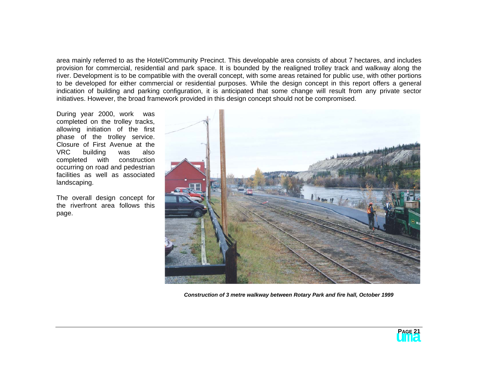area mainly referred to as the Hotel/Community Precinct. This developable area consists of about 7 hectares, and includes provision for commercial, residential and park space. It is bounded by the realigned trolley track and walkway along the river. Development is to be compatible with the overall concept, with some areas retained for public use, with other portions to be developed for either commercial or residential purposes. While the design concept in this report offers a general indication of building and parking configuration, it is anticipated that some change will result from any private sector initiatives. However, the broad framework provided in this design concept should not be compromised.

During year 2000, work was completed on the trolley tracks, allowing initiation of the first phase of the trolley service. Closure of First Avenue at the VRC building was also completed with construction occurring on road and pedestrian facilities as well as associated landscaping.

The overall design concept for the riverfront area follows this page.



*Construction of 3 metre walkway between Rotary Park and fire hall, October 1999* 

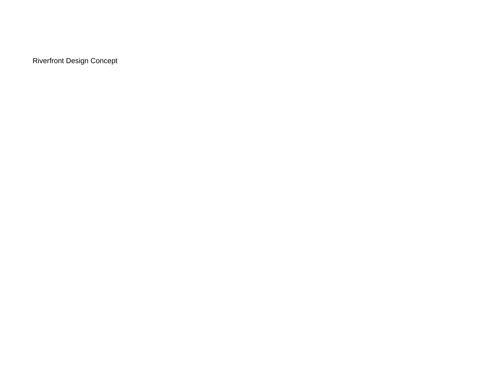<span id="page-24-0"></span>Riverfront Design Concept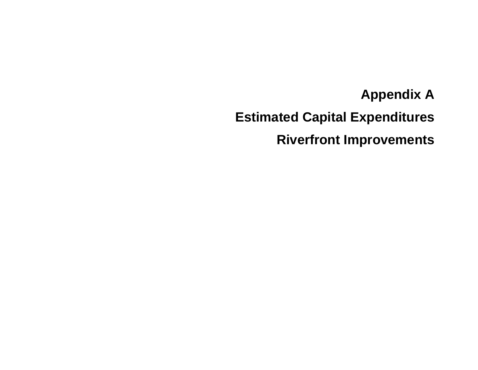**Appendix A Estimated Capital Expenditures Riverfront Improvements**